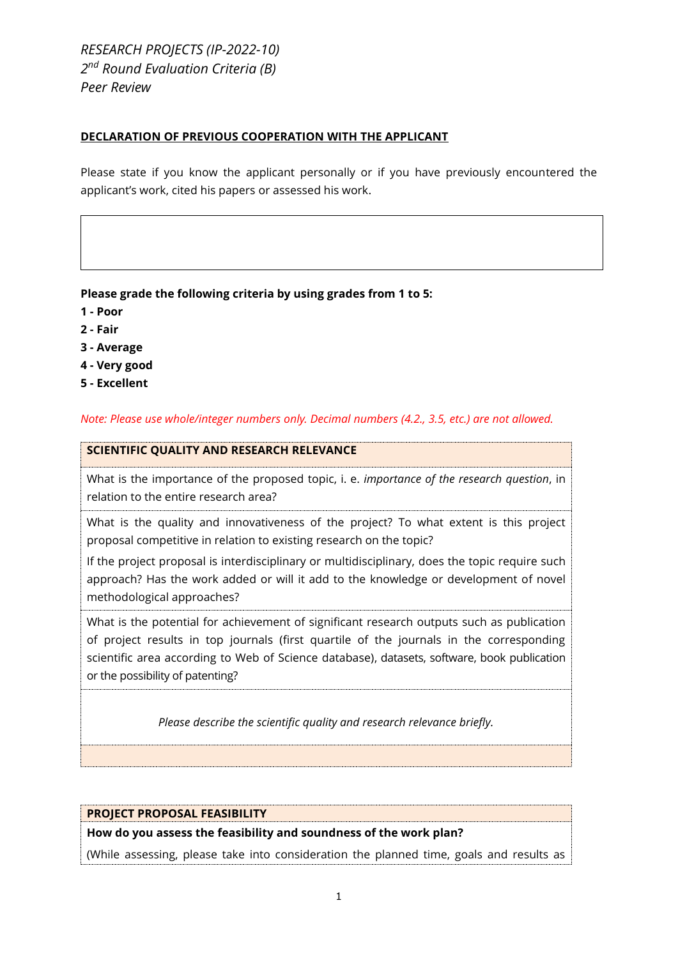*RESEARCH PROJECTS (IP-2022-10) 2 nd Round Evaluation Criteria (B) Peer Review*

### **DECLARATION OF PREVIOUS COOPERATION WITH THE APPLICANT**

Please state if you know the applicant personally or if you have previously encountered the applicant's work, cited his papers or assessed his work.

## **Please grade the following criteria by using grades from 1 to 5:**

- **1 - Poor**
- **2 - Fair**
- **3 - Average**
- **4 - Very good**
- **5 - Excellent**

*Note: Please use whole/integer numbers only. Decimal numbers (4.2., 3.5, etc.) are not allowed.*

#### **SCIENTIFIC QUALITY AND RESEARCH RELEVANCE**

What is the importance of the proposed topic, i. e. *importance of the research question*, in relation to the entire research area?

What is the quality and innovativeness of the project? To what extent is this project proposal competitive in relation to existing research on the topic?

If the project proposal is interdisciplinary or multidisciplinary, does the topic require such approach? Has the work added or will it add to the knowledge or development of novel methodological approaches?

What is the potential for achievement of significant research outputs such as publication of project results in top journals (first quartile of the journals in the corresponding scientific area according to Web of Science database), datasets, software, book publication or the possibility of patenting?

*Please describe the scientific quality and research relevance briefly.*

#### **PROJECT PROPOSAL FEASIBILITY**

**How do you assess the feasibility and soundness of the work plan?**

(While assessing, please take into consideration the planned time, goals and results as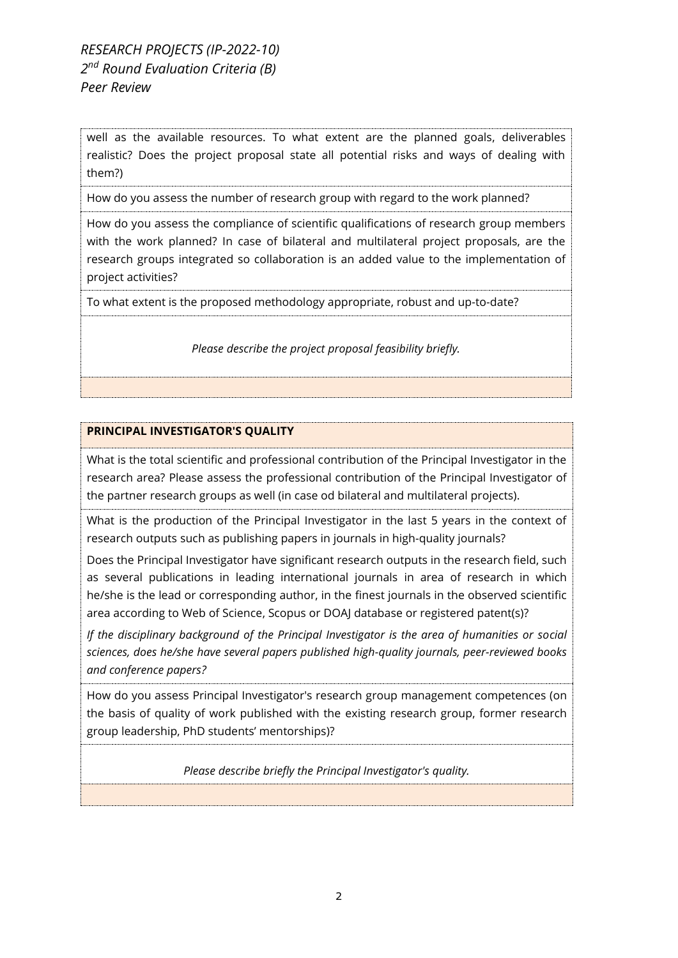# *RESEARCH PROJECTS (IP-2022-10) 2 nd Round Evaluation Criteria (B) Peer Review*

well as the available resources. To what extent are the planned goals, deliverables realistic? Does the project proposal state all potential risks and ways of dealing with them?)

How do you assess the number of research group with regard to the work planned?

How do you assess the compliance of scientific qualifications of research group members with the work planned? In case of bilateral and multilateral project proposals, are the research groups integrated so collaboration is an added value to the implementation of project activities?

To what extent is the proposed methodology appropriate, robust and up-to-date?

*Please describe the project proposal feasibility briefly.*

#### **PRINCIPAL INVESTIGATOR'S QUALITY**

What is the total scientific and professional contribution of the Principal Investigator in the research area? Please assess the professional contribution of the Principal Investigator of the partner research groups as well (in case od bilateral and multilateral projects).

What is the production of the Principal Investigator in the last 5 years in the context of research outputs such as publishing papers in journals in high-quality journals?

Does the Principal Investigator have significant research outputs in the research field, such as several publications in leading international journals in area of research in which he/she is the lead or corresponding author, in the finest journals in the observed scientific area according to Web of Science, Scopus or DOAJ database or registered patent(s)?

*If the disciplinary background of the Principal Investigator is the area of humanities or social sciences, does he/she have several papers published high-quality journals, peer-reviewed books and conference papers?*

How do you assess Principal Investigator's research group management competences (on the basis of quality of work published with the existing research group, former research group leadership, PhD students' mentorships)?

*Please describe briefly the Principal Investigator's quality.*